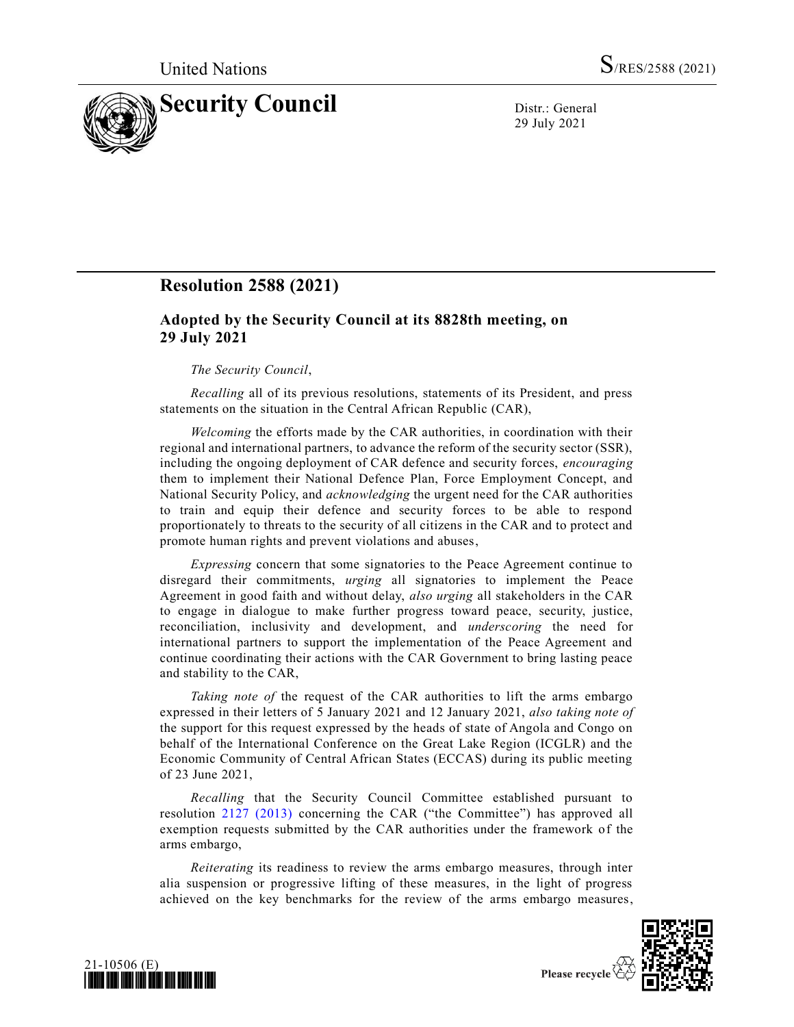

29 July 2021

## **Resolution 2588 (2021)**

## **Adopted by the Security Council at its 8828th meeting, on 29 July 2021**

## *The Security Council*,

*Recalling* all of its previous resolutions, statements of its President, and press statements on the situation in the Central African Republic (CAR),

*Welcoming* the efforts made by the CAR authorities, in coordination with their regional and international partners, to advance the reform of the security sector (SSR), including the ongoing deployment of CAR defence and security forces, *encouraging* them to implement their National Defence Plan, Force Employment Concept, and National Security Policy, and *acknowledging* the urgent need for the CAR authorities to train and equip their defence and security forces to be able to respond proportionately to threats to the security of all citizens in the CAR and to protect and promote human rights and prevent violations and abuses,

*Expressing* concern that some signatories to the Peace Agreement continue to disregard their commitments, *urging* all signatories to implement the Peace Agreement in good faith and without delay, *also urging* all stakeholders in the CAR to engage in dialogue to make further progress toward peace, security, justice, reconciliation, inclusivity and development, and *underscoring* the need for international partners to support the implementation of the Peace Agreement and continue coordinating their actions with the CAR Government to bring lasting peace and stability to the CAR,

*Taking note of* the request of the CAR authorities to lift the arms embargo expressed in their letters of 5 January 2021 and 12 January 2021, *also taking note of*  the support for this request expressed by the heads of state of Angola and Congo on behalf of the International Conference on the Great Lake Region (ICGLR) and the Economic Community of Central African States (ECCAS) during its public meeting of 23 June 2021,

*Recalling* that the Security Council Committee established pursuant to resolution [2127 \(2013\)](https://undocs.org/en/S/RES/2127(2013)) concerning the CAR ("the Committee") has approved all exemption requests submitted by the CAR authorities under the framework of the arms embargo,

*Reiterating* its readiness to review the arms embargo measures, through inter alia suspension or progressive lifting of these measures, in the light of progress achieved on the key benchmarks for the review of the arms embargo measures,



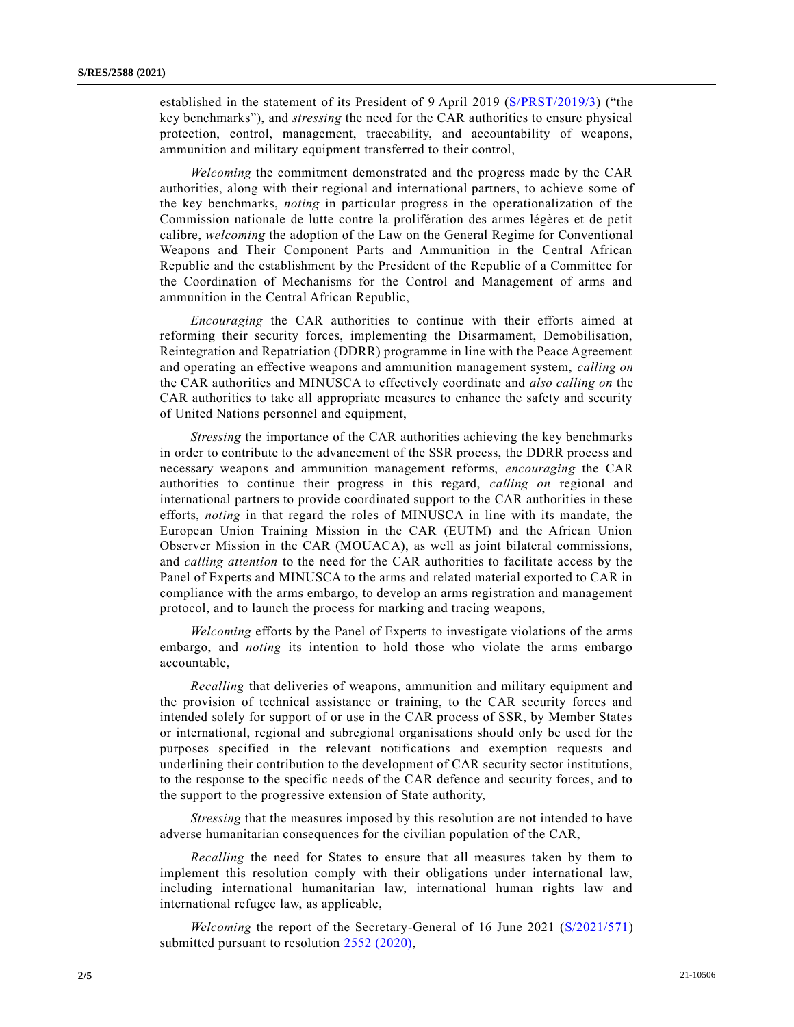established in the statement of its President of 9 April 2019 [\(S/PRST/2019/3\)](https://undocs.org/en/S/PRST/2019/3) ("the key benchmarks"), and *stressing* the need for the CAR authorities to ensure physical protection, control, management, traceability, and accountability of weapons, ammunition and military equipment transferred to their control,

*Welcoming* the commitment demonstrated and the progress made by the CAR authorities, along with their regional and international partners, to achieve some of the key benchmarks, *noting* in particular progress in the operationalization of the Commission nationale de lutte contre la prolifération des armes légères et de petit calibre, *welcoming* the adoption of the Law on the General Regime for Conventional Weapons and Their Component Parts and Ammunition in the Central African Republic and the establishment by the President of the Republic of a Committee for the Coordination of Mechanisms for the Control and Management of arms and ammunition in the Central African Republic,

*Encouraging* the CAR authorities to continue with their efforts aimed at reforming their security forces, implementing the Disarmament, Demobilisation, Reintegration and Repatriation (DDRR) programme in line with the Peace Agreement and operating an effective weapons and ammunition management system, *calling on* the CAR authorities and MINUSCA to effectively coordinate and *also calling on* the CAR authorities to take all appropriate measures to enhance the safety and security of United Nations personnel and equipment,

*Stressing* the importance of the CAR authorities achieving the key benchmarks in order to contribute to the advancement of the SSR process, the DDRR process and necessary weapons and ammunition management reforms, *encouraging* the CAR authorities to continue their progress in this regard, *calling on* regional and international partners to provide coordinated support to the CAR authorities in these efforts, *noting* in that regard the roles of MINUSCA in line with its mandate, the European Union Training Mission in the CAR (EUTM) and the African Union Observer Mission in the CAR (MOUACA), as well as joint bilateral commissions, and *calling attention* to the need for the CAR authorities to facilitate access by the Panel of Experts and MINUSCA to the arms and related material exported to CAR in compliance with the arms embargo, to develop an arms registration and management protocol, and to launch the process for marking and tracing weapons,

*Welcoming* efforts by the Panel of Experts to investigate violations of the arms embargo, and *noting* its intention to hold those who violate the arms embargo accountable,

*Recalling* that deliveries of weapons, ammunition and military equipment and the provision of technical assistance or training, to the CAR security forces and intended solely for support of or use in the CAR process of SSR, by Member States or international, regional and subregional organisations should only be used for the purposes specified in the relevant notifications and exemption requests and underlining their contribution to the development of CAR security sector institutions, to the response to the specific needs of the CAR defence and security forces, and to the support to the progressive extension of State authority,

*Stressing* that the measures imposed by this resolution are not intended to have adverse humanitarian consequences for the civilian population of the CAR,

*Recalling* the need for States to ensure that all measures taken by them to implement this resolution comply with their obligations under international law, including international humanitarian law, international human rights law and international refugee law, as applicable,

*Welcoming* the report of the Secretary-General of 16 June 2021 [\(S/2021/571\)](https://undocs.org/en/S/2021/571) submitted pursuant to resolution [2552 \(2020\),](https://undocs.org/en/S/RES/2552(2020))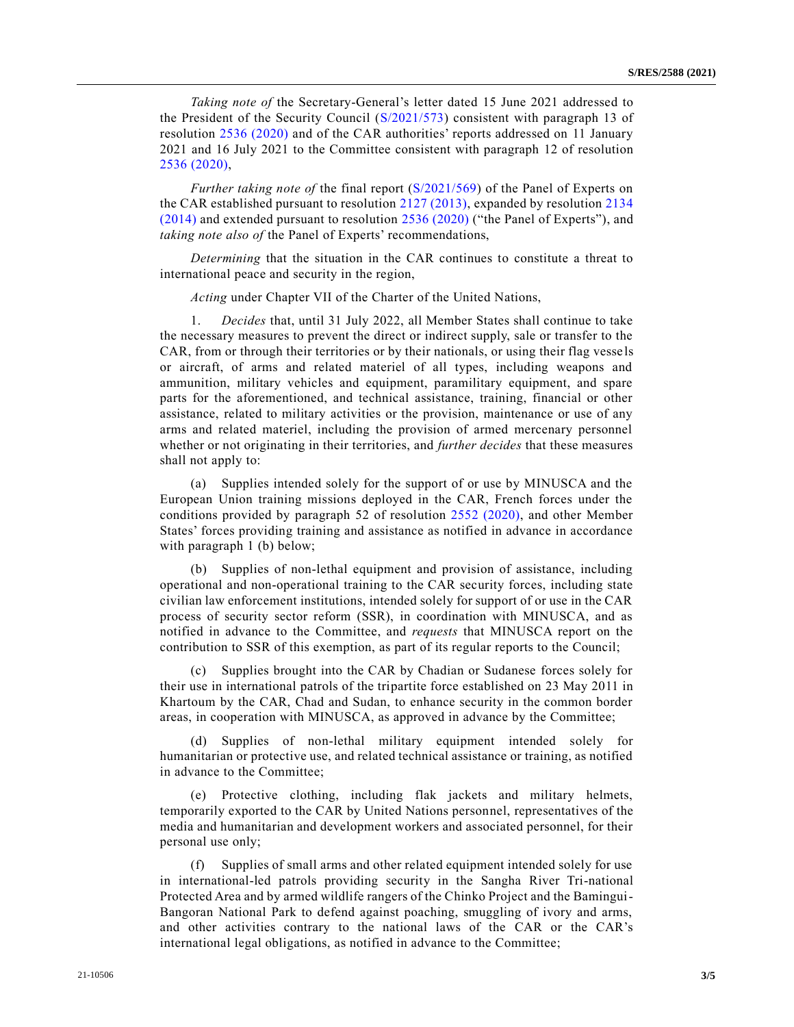*Taking note of* the Secretary-General's letter dated 15 June 2021 addressed to the President of the Security Council [\(S/2021/573\)](https://undocs.org/en/S/2021/573) consistent with paragraph 13 of resolution [2536 \(2020\)](https://undocs.org/en/S/RES/2536(2020)) and of the CAR authorities' reports addressed on 11 January 2021 and 16 July 2021 to the Committee consistent with paragraph 12 of resolution [2536 \(2020\),](https://undocs.org/en/S/RES/2536(2020))

*Further taking note of* the final report [\(S/2021/569\)](https://undocs.org/en/S/2021/569) of the Panel of Experts on the CAR established pursuant to resolution [2127 \(2013\),](https://undocs.org/en/S/RES/2127(2013)) expanded by resolution [2134](https://undocs.org/en/S/RES/2134(2014))  [\(2014\)](https://undocs.org/en/S/RES/2134(2014)) and extended pursuant to resolution [2536 \(2020\)](https://undocs.org/en/S/RES/2536(2020)) ("the Panel of Experts"), and *taking note also of* the Panel of Experts' recommendations,

*Determining* that the situation in the CAR continues to constitute a threat to international peace and security in the region,

*Acting* under Chapter VII of the Charter of the United Nations,

1. *Decides* that, until 31 July 2022, all Member States shall continue to take the necessary measures to prevent the direct or indirect supply, sale or transfer to the CAR, from or through their territories or by their nationals, or using their flag vesse ls or aircraft, of arms and related materiel of all types, including weapons and ammunition, military vehicles and equipment, paramilitary equipment, and spare parts for the aforementioned, and technical assistance, training, financial or other assistance, related to military activities or the provision, maintenance or use of any arms and related materiel, including the provision of armed mercenary personnel whether or not originating in their territories, and *further decides* that these measures shall not apply to:

(a) Supplies intended solely for the support of or use by MINUSCA and the European Union training missions deployed in the CAR, French forces under the conditions provided by paragraph 52 of resolution [2552 \(2020\),](https://undocs.org/en/S/RES/2552(2020)) and other Member States' forces providing training and assistance as notified in advance in accordance with paragraph 1 (b) below;

(b) Supplies of non-lethal equipment and provision of assistance, including operational and non-operational training to the CAR security forces, including state civilian law enforcement institutions, intended solely for support of or use in the CAR process of security sector reform (SSR), in coordination with MINUSCA, and as notified in advance to the Committee, and *requests* that MINUSCA report on the contribution to SSR of this exemption, as part of its regular reports to the Council;

(c) Supplies brought into the CAR by Chadian or Sudanese forces solely for their use in international patrols of the tripartite force established on 23 May 2011 in Khartoum by the CAR, Chad and Sudan, to enhance security in the common border areas, in cooperation with MINUSCA, as approved in advance by the Committee;

(d) Supplies of non-lethal military equipment intended solely for humanitarian or protective use, and related technical assistance or training, as notified in advance to the Committee;

(e) Protective clothing, including flak jackets and military helmets, temporarily exported to the CAR by United Nations personnel, representatives of the media and humanitarian and development workers and associated personnel, for their personal use only;

(f) Supplies of small arms and other related equipment intended solely for use in international-led patrols providing security in the Sangha River Tri-national Protected Area and by armed wildlife rangers of the Chinko Project and the Bamingui-Bangoran National Park to defend against poaching, smuggling of ivory and arms, and other activities contrary to the national laws of the CAR or the CAR's international legal obligations, as notified in advance to the Committee;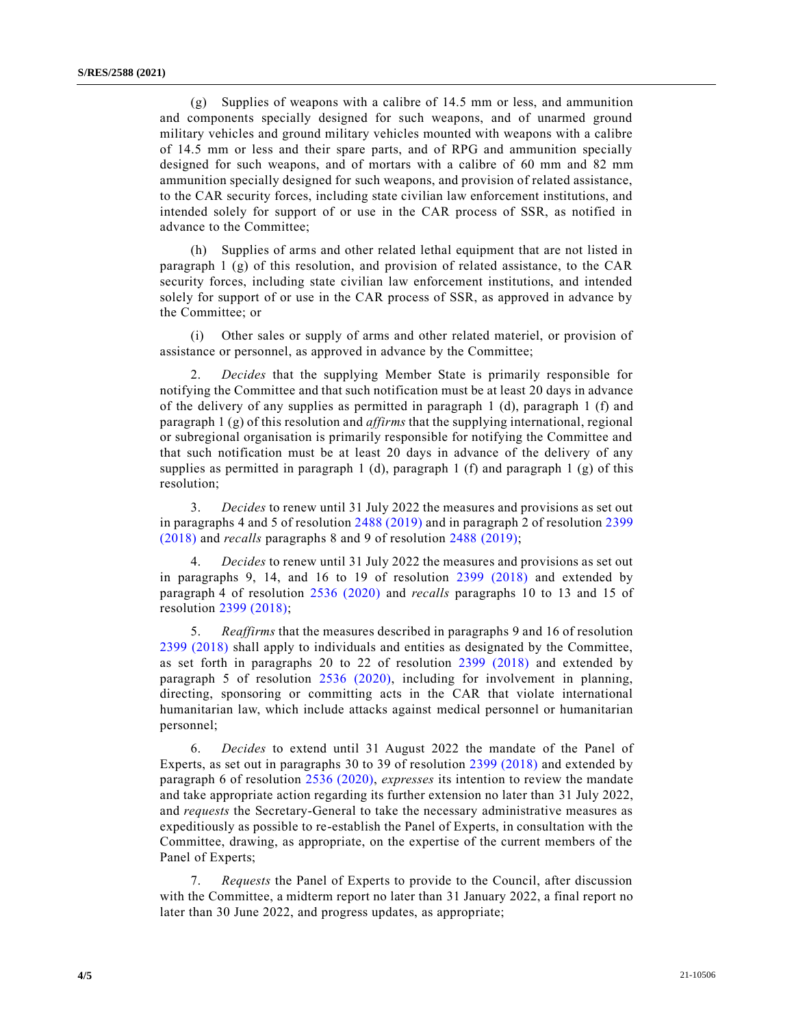(g) Supplies of weapons with a calibre of 14.5 mm or less, and ammunition and components specially designed for such weapons, and of unarmed ground military vehicles and ground military vehicles mounted with weapons with a calibre of 14.5 mm or less and their spare parts, and of RPG and ammunition specially designed for such weapons, and of mortars with a calibre of 60 mm and 82 mm ammunition specially designed for such weapons, and provision of related assistance, to the CAR security forces, including state civilian law enforcement institutions, and intended solely for support of or use in the CAR process of SSR, as notified in advance to the Committee;

(h) Supplies of arms and other related lethal equipment that are not listed in paragraph  $1$  (g) of this resolution, and provision of related assistance, to the CAR security forces, including state civilian law enforcement institutions, and intended solely for support of or use in the CAR process of SSR, as approved in advance by the Committee; or

(i) Other sales or supply of arms and other related materiel, or provision of assistance or personnel, as approved in advance by the Committee;

2. *Decides* that the supplying Member State is primarily responsible for notifying the Committee and that such notification must be at least 20 days in advance of the delivery of any supplies as permitted in paragraph 1 (d), paragraph 1 (f) and paragraph 1 (g) of this resolution and *affirms* that the supplying international, regional or subregional organisation is primarily responsible for notifying the Committee and that such notification must be at least 20 days in advance of the delivery of any supplies as permitted in paragraph 1 (d), paragraph 1 (f) and paragraph 1 (g) of this resolution;

3. *Decides* to renew until 31 July 2022 the measures and provisions as set out in paragraphs 4 and 5 of resolution [2488 \(2019\)](https://undocs.org/en/S/RES/2488(2019)) and in paragraph 2 of resolution [2399](https://undocs.org/en/S/RES/2399(2018))  [\(2018\)](https://undocs.org/en/S/RES/2399(2018)) and *recalls* paragraphs 8 and 9 of resolution [2488 \(2019\);](https://undocs.org/en/S/RES/2488(2019))

4. *Decides* to renew until 31 July 2022 the measures and provisions as set out in paragraphs 9, 14, and 16 to 19 of resolution [2399 \(2018\)](https://undocs.org/en/S/RES/2399(2018)) and extended by paragraph 4 of resolution [2536 \(2020\)](https://undocs.org/en/S/RES/2536(2020)) and *recalls* paragraphs 10 to 13 and 15 of resolution [2399 \(2018\);](https://undocs.org/en/S/RES/2399(2018))

5. *Reaffirms* that the measures described in paragraphs 9 and 16 of resolution [2399 \(2018\)](https://undocs.org/en/S/RES/2399(2018)) shall apply to individuals and entities as designated by the Committee, as set forth in paragraphs 20 to 22 of resolution [2399 \(2018\)](https://undocs.org/en/S/RES/2399(2018)) and extended by paragraph 5 of resolution [2536 \(2020\),](https://undocs.org/en/S/RES/2536(2020)) including for involvement in planning, directing, sponsoring or committing acts in the CAR that violate international humanitarian law, which include attacks against medical personnel or humanitarian personnel;

6. *Decides* to extend until 31 August 2022 the mandate of the Panel of Experts, as set out in paragraphs 30 to 39 of resolution [2399 \(2018\)](https://undocs.org/en/S/RES/2399(2018)) and extended by paragraph 6 of resolution [2536 \(2020\),](https://undocs.org/en/S/RES/2536(2020)) *expresses* its intention to review the mandate and take appropriate action regarding its further extension no later than 31 July 2022, and *requests* the Secretary-General to take the necessary administrative measures as expeditiously as possible to re-establish the Panel of Experts, in consultation with the Committee, drawing, as appropriate, on the expertise of the current members of the Panel of Experts;

7. *Requests* the Panel of Experts to provide to the Council, after discussion with the Committee, a midterm report no later than 31 January 2022, a final report no later than 30 June 2022, and progress updates, as appropriate;